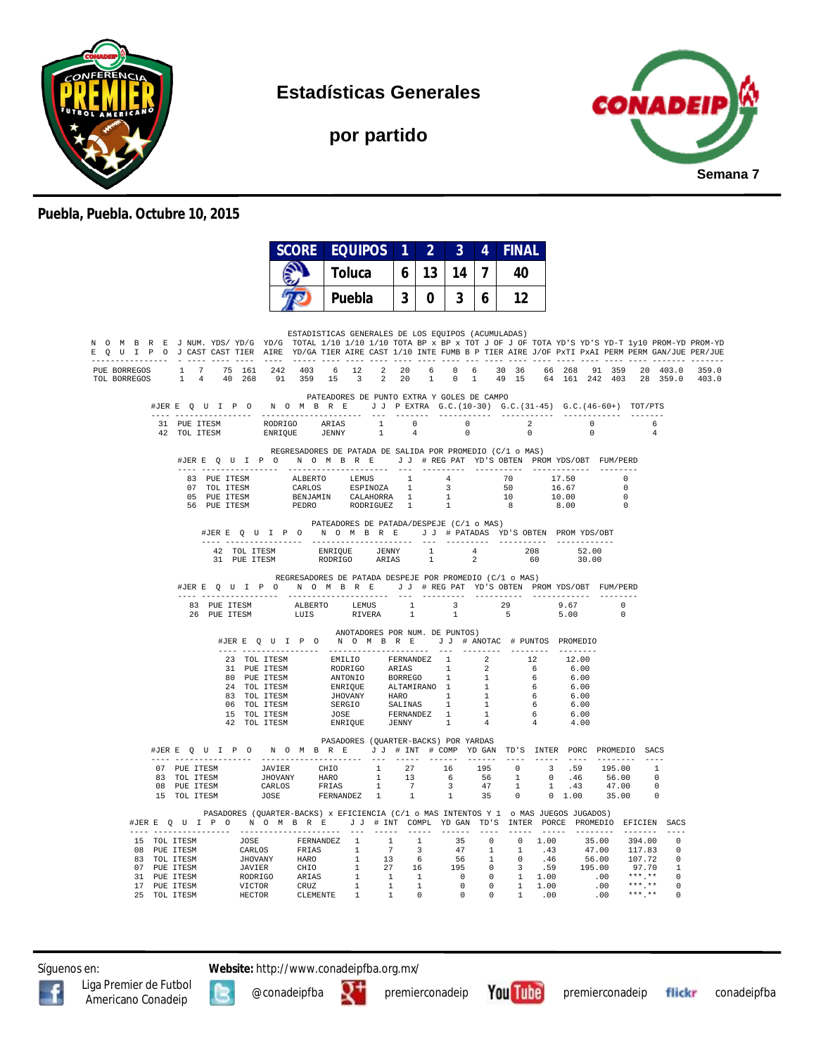

**Estadísticas Generales**

**por partido**



## **Puebla, Puebla. Octubre 10, 2015**

|              |                                                                                                                                                                                                                                                                                                                                                             |                                                                                                                                                                                                                                          |                      | <b>SCORE EQUIPOS</b>                                                                      |  | $\vert$ 1 $\vert$ | $\mathbf{2}$ | 3 <sup>1</sup>          | 4            | <b>FINAL</b>                        |                         |                                                                                                        |                                                   |                       |  |
|--------------|-------------------------------------------------------------------------------------------------------------------------------------------------------------------------------------------------------------------------------------------------------------------------------------------------------------------------------------------------------------|------------------------------------------------------------------------------------------------------------------------------------------------------------------------------------------------------------------------------------------|----------------------|-------------------------------------------------------------------------------------------|--|-------------------|--------------|-------------------------|--------------|-------------------------------------|-------------------------|--------------------------------------------------------------------------------------------------------|---------------------------------------------------|-----------------------|--|
|              |                                                                                                                                                                                                                                                                                                                                                             |                                                                                                                                                                                                                                          | <b>Toluca</b>        |                                                                                           |  |                   | 13           | 14                      | $\mathbf{7}$ | 40                                  |                         |                                                                                                        |                                                   |                       |  |
|              |                                                                                                                                                                                                                                                                                                                                                             |                                                                                                                                                                                                                                          |                      | <b>Puebla</b>                                                                             |  | 3 <sup>1</sup>    | 0            | 3                       | 6 I          | 12                                  |                         |                                                                                                        |                                                   |                       |  |
|              |                                                                                                                                                                                                                                                                                                                                                             |                                                                                                                                                                                                                                          |                      |                                                                                           |  |                   |              |                         |              |                                     |                         |                                                                                                        |                                                   |                       |  |
|              | N O M B R E J NUM. YDS/YD/G YD/G TOTAL 1/10 1/10 1/10 TOTA BP x BP x TOT J OF J OF TOTA YD'S YD-T 1y10 PROM-YD PROM-YD<br>E O U I P O J CAST CAST TIER AIRE YD/GA TIER AIRE CAST 1/10 INTE FUMB B P TIER AIRE J/OF PXTI PXAI PERM PERM GAN/JUE PER/JUE<br>------ - ---- -                                                                                   |                                                                                                                                                                                                                                          |                      | ESTADISTICAS GENERALES DE LOS EQUIPOS (ACUMULADAS)                                        |  |                   |              |                         |              | ---- --- ---- ---- ---- ---- ---- - |                         |                                                                                                        |                                                   |                       |  |
| TOL BORREGOS | PUE BORREGOS 1 7 75 161 242 403 6 12 2 20 6 0 6 30 36 66 268 91 359 20 403.0 359.0<br>1 4 40 268 91 359 15 3 2 20                                                                                                                                                                                                                                           |                                                                                                                                                                                                                                          |                      |                                                                                           |  |                   |              |                         |              |                                     |                         | 1 0 1 49 15 64 161 242 403 28 359.0 403.0                                                              |                                                   |                       |  |
|              | #JERE OUIP ON OMBRE JJ PEXTRA G.C. (10-30) G.C. (31-45) G.C. (46-60+) TOT/PTS<br>---- ----------------                                                                                                                                                                                                                                                      |                                                                                                                                                                                                                                          | -------------------- | PATEADORES DE PUNTO EXTRA Y GOLES DE CAMPO                                                |  |                   |              | --- ------- ----------- |              | ------------                        |                         |                                                                                                        | ---------                                         |                       |  |
|              |                                                                                                                                                                                                                                                                                                                                                             |                                                                                                                                                                                                                                          |                      |                                                                                           |  |                   |              |                         |              | $\cap$                              | $\overline{\mathbf{2}}$ | $\sim$ 0<br>$\Omega$                                                                                   |                                                   | - 6<br>$\overline{4}$ |  |
|              | #JERE QUIPO NOMBRE JJ #REGPAT YD'S OBTEN PROMYDS/OBT FUM/PERD                                                                                                                                                                                                                                                                                               |                                                                                                                                                                                                                                          |                      | REGRESADORES DE PATADA DE SALIDA POR PROMEDIO (C/1 o MAS)                                 |  |                   |              |                         |              |                                     |                         |                                                                                                        |                                                   |                       |  |
|              | 83 PUE ITESM<br>07 TOL ITESM<br>05 PUE ITESM                                                                                                                                                                                                                                                                                                                |                                                                                                                                                                                                                                          |                      | ALBERTO LEMUS 1 4<br>CARLOS ESPINOZA 1 3<br>BENJAMIN CALAHORRA 1 1<br>PEDRO RODRIGUEZ 1 1 |  |                   |              |                         |              | 70                                  |                         | 17.50<br>$\begin{array}{ccc} 50 & \quad & 16.67 \\ 10 & \quad & 10.00 \\ 8 & \quad & 8.00 \end{array}$ | $\bigcap$<br>$\sim$ 0<br>$\overline{\phantom{0}}$ |                       |  |
|              | 56 PUE ITESM                                                                                                                                                                                                                                                                                                                                                |                                                                                                                                                                                                                                          |                      | PATEADORES DE PATADA/DESPEJE (C/1 o MAS)                                                  |  |                   |              |                         |              |                                     |                         | 8.00                                                                                                   | $\overline{\phantom{0}}$                          |                       |  |
|              |                                                                                                                                                                                                                                                                                                                                                             | #JERE Q U I P O N O M B R E J J # PATADAS YD'S OBTEN PROMYDS/OBT                                                                                                                                                                         |                      |                                                                                           |  |                   |              |                         |              |                                     |                         |                                                                                                        |                                                   |                       |  |
|              |                                                                                                                                                                                                                                                                                                                                                             |                                                                                                                                                                                                                                          |                      |                                                                                           |  |                   |              | $\frac{4}{2}$           | 2            | $\frac{208}{6}$<br>60               |                         | $\begin{array}{r} 52.00 \\ 30.00 \end{array}$                                                          |                                                   |                       |  |
|              | #JERE Q U I P O N O M B R E J J # REG PAT YD'S OBTEN PROMYDS/OBT FUM/PERD                                                                                                                                                                                                                                                                                   |                                                                                                                                                                                                                                          |                      | REGRESADORES DE PATADA DESPEJE POR PROMEDIO (C/1 o MAS)                                   |  |                   |              |                         |              |                                     |                         |                                                                                                        |                                                   |                       |  |
|              | $\begin{tabular}{lcccccc} \textbf{83 & PUE ITESM} & & & & \textbf{ALEERTO} & & & \textbf{LEMUS} & & 1 & & 3 & & 29 & & 9.67 & & 0 \\ \textbf{26 & PUE ITESM} & & & & \textbf{LUIIS} & & & \textbf{RIVEERA} & & 1 & & 1 & & 5 & & 5.00 & & 0 \\ \end{tabular}$                                                                                               |                                                                                                                                                                                                                                          |                      |                                                                                           |  |                   |              |                         |              |                                     |                         |                                                                                                        |                                                   |                       |  |
|              |                                                                                                                                                                                                                                                                                                                                                             |                                                                                                                                                                                                                                          |                      | ANOTADORES POR NUM. DE PUNTOS)                                                            |  |                   |              |                         |              |                                     |                         |                                                                                                        |                                                   |                       |  |
|              |                                                                                                                                                                                                                                                                                                                                                             | #JERE Q U I P O N O M B R E J J # ANOTAC # PUNTOS PROMEDIO                                                                                                                                                                               |                      |                                                                                           |  |                   |              |                         |              |                                     |                         |                                                                                                        |                                                   |                       |  |
|              |                                                                                                                                                                                                                                                                                                                                                             | 23 TOL ITESM EMILIO FERNANDEZ 1 2 12 12.00<br>23 TOL ITESM EMILIO FERNANDEZ 1 2 6 6.00<br>80 PUE ITESM ANTONIO BORREGO 1 1 6 6.00<br>24 TOL ITESM EMIRYOUE ALTAMIRANO 1 1 6 6.00<br>83 TOL ITESM SENEIQUE ALTAMIRANO 1 1 6 6.00<br>83 TO |                      |                                                                                           |  |                   |              |                         |              |                                     |                         |                                                                                                        |                                                   |                       |  |
|              |                                                                                                                                                                                                                                                                                                                                                             |                                                                                                                                                                                                                                          |                      |                                                                                           |  |                   |              |                         |              |                                     |                         |                                                                                                        |                                                   |                       |  |
|              |                                                                                                                                                                                                                                                                                                                                                             |                                                                                                                                                                                                                                          |                      |                                                                                           |  |                   |              |                         |              |                                     |                         |                                                                                                        |                                                   |                       |  |
|              |                                                                                                                                                                                                                                                                                                                                                             |                                                                                                                                                                                                                                          |                      |                                                                                           |  |                   |              |                         |              |                                     |                         |                                                                                                        |                                                   |                       |  |
|              |                                                                                                                                                                                                                                                                                                                                                             |                                                                                                                                                                                                                                          |                      |                                                                                           |  |                   |              |                         |              |                                     |                         |                                                                                                        |                                                   |                       |  |
|              |                                                                                                                                                                                                                                                                                                                                                             |                                                                                                                                                                                                                                          |                      |                                                                                           |  |                   |              |                         |              |                                     |                         |                                                                                                        |                                                   |                       |  |
|              |                                                                                                                                                                                                                                                                                                                                                             |                                                                                                                                                                                                                                          |                      |                                                                                           |  |                   |              |                         |              |                                     |                         |                                                                                                        |                                                   |                       |  |
|              | #JERE Q U I P O N O M B R E J J # INT # COMP YD GAN TD'S INTER PORC PROMEDIO SACS                                                                                                                                                                                                                                                                           |                                                                                                                                                                                                                                          |                      | PASADORES (QUARTER-BACKS) POR YARDAS                                                      |  |                   |              |                         |              |                                     |                         |                                                                                                        |                                                   |                       |  |
|              |                                                                                                                                                                                                                                                                                                                                                             |                                                                                                                                                                                                                                          |                      |                                                                                           |  |                   |              |                         |              |                                     |                         |                                                                                                        |                                                   |                       |  |
|              |                                                                                                                                                                                                                                                                                                                                                             |                                                                                                                                                                                                                                          |                      |                                                                                           |  |                   |              |                         |              |                                     |                         |                                                                                                        |                                                   |                       |  |
|              | $\begin{tabular}{cccccccc} 07 & PUE ITESM & JAVIER & CHIO & 1 & 27 & 16 & 195 & 0 & 3 & .59 & 195.00 & 1 \\ 81 & TOL ITTSSM & JHOVANY & HARO & 1 & 13 & 6 & 56 & 1 & 0 & .46 & 56.00 & 0 \\ 08 & PUE ITESM & CARILOS & FERIAS & 1 & 7 & 3 & 47 & 1 & 1 & .43 & 47.00 & 0 \\ 15 & TOL ITESM & CARELOS & FERNANDEZ & 1 & 1 & 1 & 35 & 0 & 0 & 1.00 & 35.00 &$ |                                                                                                                                                                                                                                          |                      |                                                                                           |  |                   |              |                         |              |                                     |                         |                                                                                                        |                                                   |                       |  |
|              |                                                                                                                                                                                                                                                                                                                                                             |                                                                                                                                                                                                                                          |                      |                                                                                           |  |                   |              |                         |              |                                     |                         |                                                                                                        |                                                   |                       |  |
|              | #JERE Q U I P O N O M B R E J J # INT COMPL YDGAN TD'S INTER PORCE PROMEDIO EFICIEN SACS                                                                                                                                                                                                                                                                    | PASADORES (QUARTER-BACKS) x EFICIENCIA (C/1 o MAS INTENTOS Y 1 o MAS JUEGOS JUGADOS)                                                                                                                                                     |                      |                                                                                           |  |                   |              |                         |              |                                     |                         |                                                                                                        |                                                   |                       |  |
|              |                                                                                                                                                                                                                                                                                                                                                             |                                                                                                                                                                                                                                          |                      |                                                                                           |  |                   |              |                         |              |                                     |                         |                                                                                                        |                                                   |                       |  |
|              |                                                                                                                                                                                                                                                                                                                                                             |                                                                                                                                                                                                                                          |                      |                                                                                           |  |                   |              |                         |              |                                     |                         |                                                                                                        |                                                   |                       |  |
|              |                                                                                                                                                                                                                                                                                                                                                             |                                                                                                                                                                                                                                          |                      |                                                                                           |  |                   |              |                         |              |                                     |                         |                                                                                                        |                                                   |                       |  |
|              |                                                                                                                                                                                                                                                                                                                                                             |                                                                                                                                                                                                                                          |                      |                                                                                           |  |                   |              |                         |              |                                     |                         |                                                                                                        |                                                   |                       |  |
|              |                                                                                                                                                                                                                                                                                                                                                             |                                                                                                                                                                                                                                          |                      |                                                                                           |  |                   |              |                         |              |                                     |                         |                                                                                                        |                                                   |                       |  |
|              |                                                                                                                                                                                                                                                                                                                                                             |                                                                                                                                                                                                                                          |                      |                                                                                           |  |                   |              |                         |              |                                     |                         |                                                                                                        |                                                   |                       |  |
|              | 15 TOL ITESM (1902)<br>16 TOL ITESM (1902)<br>16 TOL ITESM (ARLOS FRIAS 1 7 3 47 1 1 .43 47.00 117.83 0<br>16 TOL ITESM (HOVANY HARO 1 13 6 56 1 0 .46 56.00 107.72 0<br>17 PUE ITESM (AVIVER CHIO 1 27 16 195 0 3 .59 195.00 97.70 1<br>                                                                                                                   |                                                                                                                                                                                                                                          |                      |                                                                                           |  |                   |              |                         |              |                                     |                         |                                                                                                        |                                                   |                       |  |

Síguenos en: **Website:** http://www.conadeipfba.org.mx/





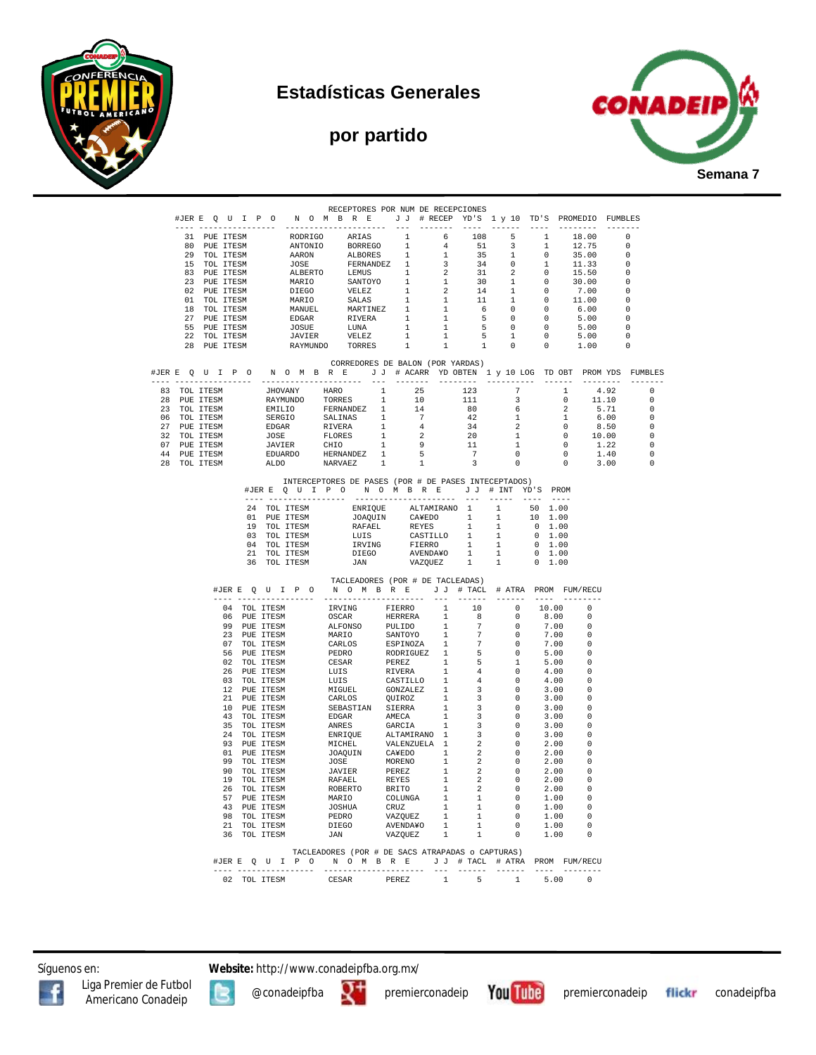

## **Estadísticas Generales**

## **por partido**



|  |                              |              |  |  | RECEPTORES POR NUM DE RECEPCIONES                                                                                                                                                                                                       |  |  |                                            |         |                                                                     |                                  |      |                                                                                                                                                                                                                                                                                 |                                                      |                                            |
|--|------------------------------|--------------|--|--|-----------------------------------------------------------------------------------------------------------------------------------------------------------------------------------------------------------------------------------------|--|--|--------------------------------------------|---------|---------------------------------------------------------------------|----------------------------------|------|---------------------------------------------------------------------------------------------------------------------------------------------------------------------------------------------------------------------------------------------------------------------------------|------------------------------------------------------|--------------------------------------------|
|  |                              |              |  |  |                                                                                                                                                                                                                                         |  |  |                                            |         |                                                                     |                                  |      |                                                                                                                                                                                                                                                                                 |                                                      |                                            |
|  | 31 PUE ITESM                 |              |  |  |                                                                                                                                                                                                                                         |  |  |                                            |         | $\begin{array}{cccc} 108 & & 5 & & 1 \\ 51 & & 3 & & 1 \end{array}$ |                                  |      | 18.00<br>$12.75$ 0                                                                                                                                                                                                                                                              | $\bigcirc$                                           |                                            |
|  | 80 PUE ITESM<br>29 TOL ITESM |              |  |  |                                                                                                                                                                                                                                         |  |  |                                            |         |                                                                     | $\overline{0}$                   |      | 35.00                                                                                                                                                                                                                                                                           | $\overline{\phantom{0}}$                             |                                            |
|  | 15 TOL ITESM                 |              |  |  |                                                                                                                                                                                                                                         |  |  |                                            |         |                                                                     | 1                                |      | 11.33                                                                                                                                                                                                                                                                           | $\overline{0}$                                       |                                            |
|  | 83 PUE ITESM<br>23 PUE ITESM |              |  |  |                                                                                                                                                                                                                                         |  |  |                                            |         |                                                                     | $\overline{0}$<br>$\overline{0}$ |      | 15.50                                                                                                                                                                                                                                                                           | $\overline{0}$                                       |                                            |
|  | 02 PUE ITESM                 |              |  |  |                                                                                                                                                                                                                                         |  |  |                                            |         |                                                                     | $\overline{0}$                   |      | 30.00<br>7.00                                                                                                                                                                                                                                                                   | $\overline{\phantom{0}}$<br>$\overline{\phantom{0}}$ |                                            |
|  | 01 TOL ITESM                 |              |  |  |                                                                                                                                                                                                                                         |  |  |                                            |         |                                                                     | $\overline{0}$                   |      | 11.00                                                                                                                                                                                                                                                                           | $\Omega$                                             |                                            |
|  | 18 TOL ITESM<br>27 PUE ITESM |              |  |  |                                                                                                                                                                                                                                         |  |  |                                            |         |                                                                     | $\overline{0}$<br>$\overline{0}$ |      | 6.00<br>5.00                                                                                                                                                                                                                                                                    | $\Omega$<br>$\overline{0}$                           |                                            |
|  | 55 PUE ITESM                 |              |  |  |                                                                                                                                                                                                                                         |  |  |                                            |         |                                                                     | $\overline{0}$                   |      | 5.00                                                                                                                                                                                                                                                                            | $\bigcirc$                                           |                                            |
|  | 22 TOL ITESM                 |              |  |  |                                                                                                                                                                                                                                         |  |  |                                            |         |                                                                     | $\overline{0}$                   |      | 5.00                                                                                                                                                                                                                                                                            | $\bigcirc$                                           |                                            |
|  | 28 PUE ITESM                 |              |  |  |                                                                                                                                                                                                                                         |  |  |                                            |         |                                                                     | $\overline{0}$                   |      | 1.00                                                                                                                                                                                                                                                                            | $\Omega$                                             |                                            |
|  |                              |              |  |  | CORREDORES DE BALON (POR YARDAS)                                                                                                                                                                                                        |  |  |                                            |         |                                                                     |                                  |      |                                                                                                                                                                                                                                                                                 |                                                      |                                            |
|  |                              |              |  |  | #JERE QUIPO NOMBRE JJ # ACARR YD OBTEN 1 y 10 LOG TD OBT PROMYDS FUMBLES                                                                                                                                                                |  |  |                                            |         |                                                                     |                                  |      |                                                                                                                                                                                                                                                                                 |                                                      |                                            |
|  |                              |              |  |  |                                                                                                                                                                                                                                         |  |  |                                            |         |                                                                     |                                  |      | $\begin{array}{cccc} \texttt{-----} & \texttt{-----} & \texttt{-----} \\ \texttt{123} & 7 & 1 & 4.92 \\ \texttt{111} & 3 & 0 & 11.10 \\ 80 & 6 & 2 & 5.71 \\ 42 & 1 & 1 & 6.00 \\ 34 & 2 & 0 & 8.50 \\ 20 & 1 & 0 & 10.00 \\ 11 & 1 & 0 & 1.22 \\ 1 & 0 & 0.140 \\ \end{array}$ |                                                      | $\Omega$                                   |
|  |                              |              |  |  |                                                                                                                                                                                                                                         |  |  |                                            |         |                                                                     |                                  |      |                                                                                                                                                                                                                                                                                 |                                                      | $\overline{0}$<br>$\overline{0}$           |
|  |                              |              |  |  |                                                                                                                                                                                                                                         |  |  |                                            |         |                                                                     |                                  |      |                                                                                                                                                                                                                                                                                 |                                                      | $\overline{0}$                             |
|  |                              |              |  |  |                                                                                                                                                                                                                                         |  |  |                                            |         |                                                                     |                                  |      |                                                                                                                                                                                                                                                                                 |                                                      | $\overline{0}$                             |
|  |                              |              |  |  |                                                                                                                                                                                                                                         |  |  |                                            |         |                                                                     |                                  |      |                                                                                                                                                                                                                                                                                 |                                                      | $\overline{0}$                             |
|  |                              |              |  |  |                                                                                                                                                                                                                                         |  |  |                                            |         |                                                                     |                                  |      |                                                                                                                                                                                                                                                                                 |                                                      | $\overline{0}$<br>$\overline{\phantom{0}}$ |
|  |                              |              |  |  |                                                                                                                                                                                                                                         |  |  |                                            |         |                                                                     |                                  |      |                                                                                                                                                                                                                                                                                 |                                                      | $\overline{0}$                             |
|  |                              |              |  |  | INTERCEPTORES DE PASES (POR # DE PASES INTECEPTADOS)                                                                                                                                                                                    |  |  |                                            |         |                                                                     |                                  |      |                                                                                                                                                                                                                                                                                 |                                                      |                                            |
|  |                              |              |  |  | #JERE QUIPO NOMBRE JJ # INT YD'S PROM                                                                                                                                                                                                   |  |  |                                            |         |                                                                     |                                  |      |                                                                                                                                                                                                                                                                                 |                                                      |                                            |
|  |                              |              |  |  |                                                                                                                                                                                                                                         |  |  |                                            |         |                                                                     |                                  |      |                                                                                                                                                                                                                                                                                 |                                                      |                                            |
|  |                              |              |  |  |                                                                                                                                                                                                                                         |  |  |                                            |         |                                                                     |                                  |      |                                                                                                                                                                                                                                                                                 |                                                      |                                            |
|  |                              |              |  |  |                                                                                                                                                                                                                                         |  |  |                                            |         |                                                                     |                                  |      |                                                                                                                                                                                                                                                                                 |                                                      |                                            |
|  |                              |              |  |  |                                                                                                                                                                                                                                         |  |  |                                            |         |                                                                     |                                  |      |                                                                                                                                                                                                                                                                                 |                                                      |                                            |
|  |                              |              |  |  |                                                                                                                                                                                                                                         |  |  |                                            |         |                                                                     |                                  |      |                                                                                                                                                                                                                                                                                 |                                                      |                                            |
|  |                              |              |  |  | 24 TOL ITESM ENFIQUE ALTAMIRANO 1 1 50 1.00<br>19 TOL ITESM JOAQUIN CAYEDO 1 1 10 1.00<br>19 TOL ITESM RAFAEL REYES 1 1 0 1.00<br>19 TOL ITESM LUIS CASTILLO 1 1 0 1.00<br>19 TOL ITESM LUIS CASTILLO 1 1 0 1.00<br>21 TOL ITESM IRVING |  |  |                                            |         |                                                                     |                                  |      |                                                                                                                                                                                                                                                                                 |                                                      |                                            |
|  |                              |              |  |  | TACLEADORES (POR # DE TACLEADAS)                                                                                                                                                                                                        |  |  |                                            |         |                                                                     |                                  |      |                                                                                                                                                                                                                                                                                 |                                                      |                                            |
|  |                              |              |  |  | #JERE QUIPO NOMBRE JJ # TACL # ATRA PROM FUM/RECU                                                                                                                                                                                       |  |  |                                            |         |                                                                     |                                  |      |                                                                                                                                                                                                                                                                                 |                                                      |                                            |
|  |                              |              |  |  |                                                                                                                                                                                                                                         |  |  |                                            |         |                                                                     |                                  |      |                                                                                                                                                                                                                                                                                 |                                                      |                                            |
|  |                              |              |  |  |                                                                                                                                                                                                                                         |  |  |                                            |         |                                                                     |                                  |      |                                                                                                                                                                                                                                                                                 |                                                      |                                            |
|  |                              |              |  |  |                                                                                                                                                                                                                                         |  |  |                                            |         |                                                                     |                                  |      |                                                                                                                                                                                                                                                                                 |                                                      |                                            |
|  |                              |              |  |  |                                                                                                                                                                                                                                         |  |  |                                            |         |                                                                     |                                  |      |                                                                                                                                                                                                                                                                                 |                                                      |                                            |
|  |                              |              |  |  |                                                                                                                                                                                                                                         |  |  |                                            |         |                                                                     |                                  |      |                                                                                                                                                                                                                                                                                 |                                                      |                                            |
|  |                              |              |  |  |                                                                                                                                                                                                                                         |  |  |                                            |         |                                                                     |                                  |      |                                                                                                                                                                                                                                                                                 |                                                      |                                            |
|  |                              |              |  |  |                                                                                                                                                                                                                                         |  |  |                                            |         |                                                                     |                                  |      |                                                                                                                                                                                                                                                                                 |                                                      |                                            |
|  |                              |              |  |  |                                                                                                                                                                                                                                         |  |  |                                            |         |                                                                     |                                  |      |                                                                                                                                                                                                                                                                                 |                                                      |                                            |
|  |                              |              |  |  |                                                                                                                                                                                                                                         |  |  |                                            |         |                                                                     |                                  |      |                                                                                                                                                                                                                                                                                 |                                                      |                                            |
|  |                              |              |  |  |                                                                                                                                                                                                                                         |  |  |                                            |         |                                                                     |                                  |      |                                                                                                                                                                                                                                                                                 |                                                      |                                            |
|  |                              |              |  |  |                                                                                                                                                                                                                                         |  |  |                                            |         |                                                                     |                                  |      |                                                                                                                                                                                                                                                                                 |                                                      |                                            |
|  |                              |              |  |  |                                                                                                                                                                                                                                         |  |  |                                            |         |                                                                     |                                  |      |                                                                                                                                                                                                                                                                                 |                                                      |                                            |
|  |                              |              |  |  |                                                                                                                                                                                                                                         |  |  |                                            |         |                                                                     |                                  |      |                                                                                                                                                                                                                                                                                 |                                                      |                                            |
|  |                              |              |  |  |                                                                                                                                                                                                                                         |  |  |                                            |         |                                                                     |                                  |      |                                                                                                                                                                                                                                                                                 |                                                      |                                            |
|  |                              |              |  |  |                                                                                                                                                                                                                                         |  |  |                                            |         |                                                                     |                                  |      |                                                                                                                                                                                                                                                                                 |                                                      |                                            |
|  |                              |              |  |  |                                                                                                                                                                                                                                         |  |  |                                            |         |                                                                     |                                  |      |                                                                                                                                                                                                                                                                                 |                                                      |                                            |
|  |                              |              |  |  |                                                                                                                                                                                                                                         |  |  |                                            |         |                                                                     |                                  |      |                                                                                                                                                                                                                                                                                 |                                                      |                                            |
|  |                              |              |  |  |                                                                                                                                                                                                                                         |  |  |                                            |         |                                                                     |                                  |      |                                                                                                                                                                                                                                                                                 |                                                      |                                            |
|  |                              |              |  |  |                                                                                                                                                                                                                                         |  |  |                                            |         |                                                                     |                                  |      |                                                                                                                                                                                                                                                                                 |                                                      |                                            |
|  |                              |              |  |  |                                                                                                                                                                                                                                         |  |  |                                            |         |                                                                     |                                  |      |                                                                                                                                                                                                                                                                                 |                                                      |                                            |
|  |                              |              |  |  |                                                                                                                                                                                                                                         |  |  |                                            |         |                                                                     |                                  |      |                                                                                                                                                                                                                                                                                 |                                                      |                                            |
|  |                              |              |  |  |                                                                                                                                                                                                                                         |  |  |                                            |         |                                                                     |                                  |      |                                                                                                                                                                                                                                                                                 |                                                      |                                            |
|  |                              |              |  |  | TACLEADORES (POR # DE SACS ATRAPADAS o CAPTURAS)                                                                                                                                                                                        |  |  |                                            |         |                                                                     |                                  |      |                                                                                                                                                                                                                                                                                 |                                                      |                                            |
|  |                              |              |  |  | #JERE QUIPO NOMBRE JJ # TACL # ATRA PROMFUM/RECU                                                                                                                                                                                        |  |  |                                            |         |                                                                     |                                  |      |                                                                                                                                                                                                                                                                                 |                                                      |                                            |
|  |                              | 02 TOL ITESM |  |  | CESAR PEREZ                                                                                                                                                                                                                             |  |  | __________________________<br>$\mathbf{1}$ | $5 - 5$ | $\sim$ $-1$ $ -$                                                    |                                  | 5.00 |                                                                                                                                                                                                                                                                                 |                                                      |                                            |

Síguenos en: **Website:** http://www.conadeipfba.org.mx/